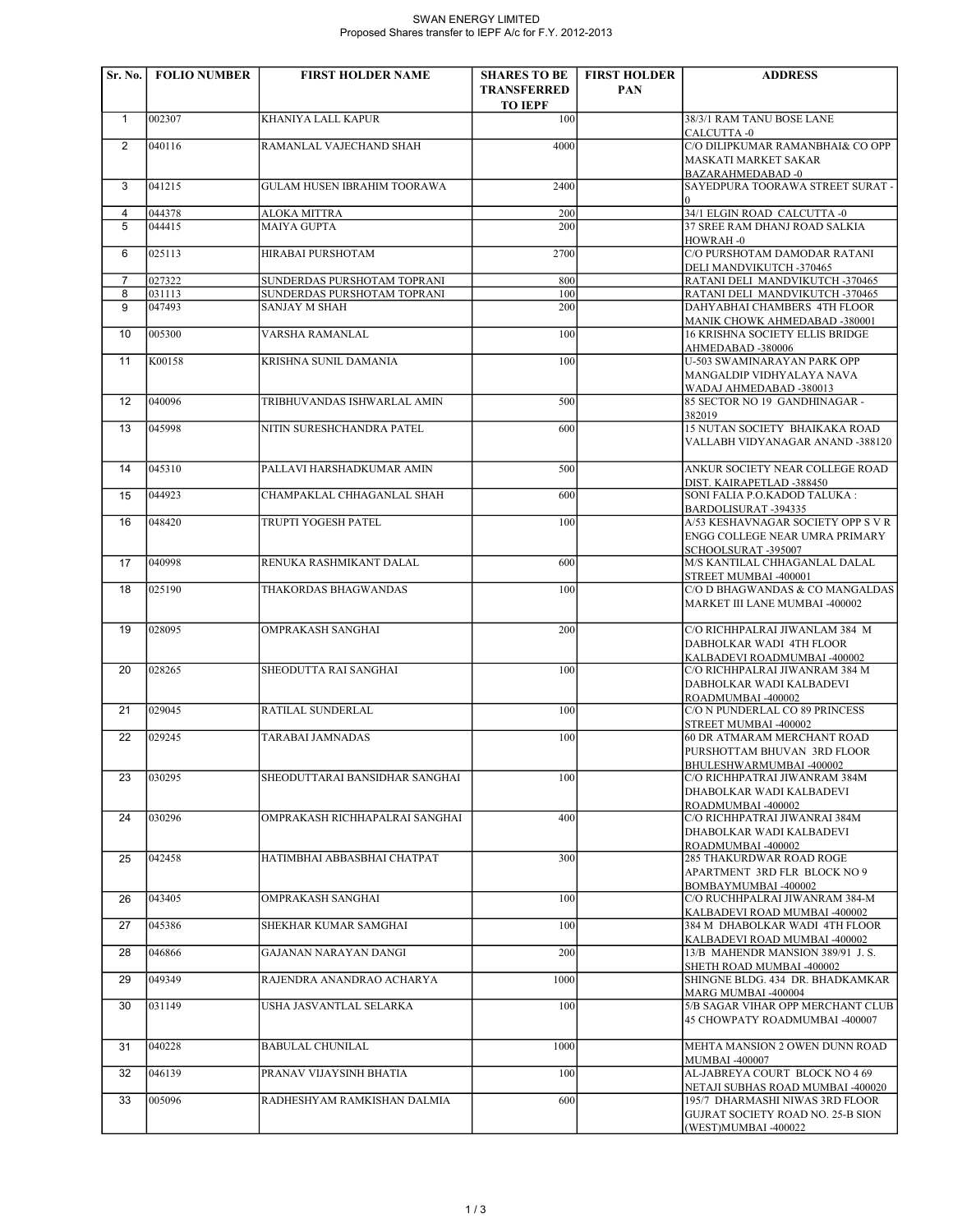## SWAN ENERGY LIMITED Proposed Shares transfer to IEPF A/c for F.Y. 2012-2013

| Sr. No.           | <b>FOLIO NUMBER</b> | <b>FIRST HOLDER NAME</b>                            | <b>SHARES TO BE</b>                  | <b>FIRST HOLDER</b> | <b>ADDRESS</b>                                                                               |
|-------------------|---------------------|-----------------------------------------------------|--------------------------------------|---------------------|----------------------------------------------------------------------------------------------|
|                   |                     |                                                     | <b>TRANSFERRED</b><br><b>TO IEPF</b> | <b>PAN</b>          |                                                                                              |
| $\mathbf{1}$      | 002307              | KHANIYA LALL KAPUR                                  | 100                                  |                     | 38/3/1 RAM TANU BOSE LANE                                                                    |
| 2                 | 040116              | RAMANLAL VAJECHAND SHAH                             | 4000                                 |                     | CALCUTTA -0<br>C/O DILIPKUMAR RAMANBHAI& CO OPP                                              |
|                   |                     |                                                     |                                      |                     | <b>MASKATI MARKET SAKAR</b><br><b>BAZARAHMEDABAD-0</b>                                       |
| 3                 | 041215              | <b>GULAM HUSEN IBRAHIM TOORAWA</b>                  | 2400                                 |                     | SAYEDPURA TOORAWA STREET SURAT -<br>$\Omega$                                                 |
| 4                 | 044378              | ALOKA MITTRA                                        | 200                                  |                     | 34/1 ELGIN ROAD CALCUTTA -0                                                                  |
| 5                 | 044415              | <b>MAIYA GUPTA</b>                                  | 200                                  |                     | 37 SREE RAM DHANJ ROAD SALKIA<br>HOWRAH-0                                                    |
| 6                 | 025113              | HIRABAI PURSHOTAM                                   | 2700                                 |                     | C/O PURSHOTAM DAMODAR RATANI<br>DELI MANDVIKUTCH -370465                                     |
| $\overline{7}$    | 027322              | SUNDERDAS PURSHOTAM TOPRANI                         | 800                                  |                     | RATANI DELI MANDVIKUTCH -370465                                                              |
| 8<br>9            | 031113<br>047493    | SUNDERDAS PURSHOTAM TOPRANI<br><b>SANJAY M SHAH</b> | 100<br>200                           |                     | RATANI DELI MANDVIKUTCH -370465<br>DAHYABHAI CHAMBERS 4TH FLOOR                              |
|                   |                     |                                                     |                                      |                     | MANIK CHOWK AHMEDABAD -380001                                                                |
| 10                | 005300              | VARSHA RAMANLAL                                     | 100                                  |                     | <b>16 KRISHNA SOCIETY ELLIS BRIDGE</b><br>AHMEDABAD -380006                                  |
| 11                | K00158              | KRISHNA SUNIL DAMANIA                               | 100                                  |                     | U-503 SWAMINARAYAN PARK OPP<br>MANGALDIP VIDHYALAYA NAVA<br>WADAJ AHMEDABAD -380013          |
| $12 \overline{ }$ | 040096              | TRIBHUVANDAS ISHWARLAL AMIN                         | 500                                  |                     | 85 SECTOR NO 19 GANDHINAGAR -<br>382019                                                      |
| 13                | 045998              | NITIN SURESHCHANDRA PATEL                           | 600                                  |                     | 15 NUTAN SOCIETY BHAIKAKA ROAD<br>VALLABH VIDYANAGAR ANAND -388120                           |
|                   |                     |                                                     |                                      |                     |                                                                                              |
| 14                | 045310              | PALLAVI HARSHADKUMAR AMIN                           | 500                                  |                     | ANKUR SOCIETY NEAR COLLEGE ROAD<br>DIST. KAIRAPETLAD -388450                                 |
| 15                | 044923              | CHAMPAKLAL CHHAGANLAL SHAH                          | 600                                  |                     | SONI FALIA P.O.KADOD TALUKA :<br>BARDOLISURAT -394335                                        |
| 16                | 048420              | TRUPTI YOGESH PATEL                                 | 100                                  |                     | A/53 KESHAVNAGAR SOCIETY OPP S V R<br>ENGG COLLEGE NEAR UMRA PRIMARY<br>SCHOOLSURAT-395007   |
| 17                | 040998              | RENUKA RASHMIKANT DALAL                             | 600                                  |                     | M/S KANTILAL CHHAGANLAL DALAL                                                                |
| 18                | 025190              | THAKORDAS BHAGWANDAS                                | 100                                  |                     | STREET MUMBAI -400001<br>C/O D BHAGWANDAS & CO MANGALDAS                                     |
|                   |                     |                                                     |                                      |                     | MARKET III LANE MUMBAI -400002                                                               |
| 19                | 028095              | OMPRAKASH SANGHAI                                   | 200                                  |                     | C/O RICHHPALRAI JIWANLAM 384 M<br>DABHOLKAR WADI 4TH FLOOR                                   |
| 20                | 028265              | SHEODUTTA RAI SANGHAI                               | 100                                  |                     | KALBADEVI ROADMUMBAI -400002<br>C/O RICHHPALRAI JIWANRAM 384 M                               |
|                   |                     |                                                     |                                      |                     | DABHOLKAR WADI KALBADEVI<br>ROADMUMBAI -400002                                               |
| 21                | 029045              | RATILAL SUNDERLAL                                   | 100                                  |                     | C/O N PUNDERLAL CO 89 PRINCESS                                                               |
| 22                | 029245              | <b>TARABAI JAMNADAS</b>                             | 100                                  |                     | STREET MUMBAI -400002<br>60 DR ATMARAM MERCHANT ROAD                                         |
|                   |                     |                                                     |                                      |                     | PURSHOTTAM BHUVAN 3RD FLOOR<br>BHULESHWARMUMBAI -400002                                      |
| 23                | 030295              | SHEODUTTARAI BANSIDHAR SANGHAI                      | 100                                  |                     | C/O RICHHPATRAI JIWANRAM 384M                                                                |
|                   |                     |                                                     |                                      |                     | DHABOLKAR WADI KALBADEVI                                                                     |
| 24                | 030296              |                                                     | 400                                  |                     | ROADMUMBAI -400002                                                                           |
|                   |                     | OMPRAKASH RICHHAPALRAI SANGHAI                      |                                      |                     | C/O RICHHPATRAI JIWANRAI 384M<br>DHABOLKAR WADI KALBADEVI                                    |
|                   |                     |                                                     |                                      |                     | ROADMUMBAI -400002                                                                           |
| 25                | 042458              | HATIMBHAI ABBASBHAI CHATPAT                         | 300                                  |                     | 285 THAKURDWAR ROAD ROGE<br>APARTMENT 3RD FLR BLOCK NO 9                                     |
| 26                | 043405              | OMPRAKASH SANGHAI                                   | 100                                  |                     | BOMBAYMUMBAI -400002<br>C/O RUCHHPALRAI JIWANRAM 384-M                                       |
| 27                | 045386              | SHEKHAR KUMAR SAMGHAI                               | 100                                  |                     | KALBADEVI ROAD MUMBAI -400002<br>384 M DHABOLKAR WADI 4TH FLOOR                              |
| 28                | 046866              | GAJANAN NARAYAN DANGI                               | 200                                  |                     | KALBADEVI ROAD MUMBAI -400002<br>13/B MAHENDR MANSION 389/91 J.S.                            |
| 29                | 049349              | RAJENDRA ANANDRAO ACHARYA                           | 1000                                 |                     | SHETH ROAD MUMBAI -400002<br>SHINGNE BLDG. 434 DR. BHADKAMKAR                                |
| 30                | 031149              | USHA JASVANTLAL SELARKA                             | 100                                  |                     | MARG MUMBAI -400004<br>5/B SAGAR VIHAR OPP MERCHANT CLUB                                     |
|                   |                     |                                                     |                                      |                     | 45 CHOWPATY ROADMUMBAI -400007                                                               |
| 31                | 040228              | <b>BABULAL CHUNILAL</b>                             | 1000                                 |                     | MEHTA MANSION 2 OWEN DUNN ROAD<br><b>MUMBAI -400007</b>                                      |
| 32                | 046139              | PRANAV VIJAYSINH BHATIA                             | 100                                  |                     | AL-JABREYA COURT BLOCK NO 4 69<br>NETAJI SUBHAS ROAD MUMBAI -400020                          |
| 33                | 005096              | RADHESHYAM RAMKISHAN DALMIA                         | 600                                  |                     | 195/7 DHARMASHI NIWAS 3RD FLOOR<br>GUJRAT SOCIETY ROAD NO. 25-B SION<br>(WEST)MUMBAI -400022 |
|                   |                     |                                                     |                                      |                     |                                                                                              |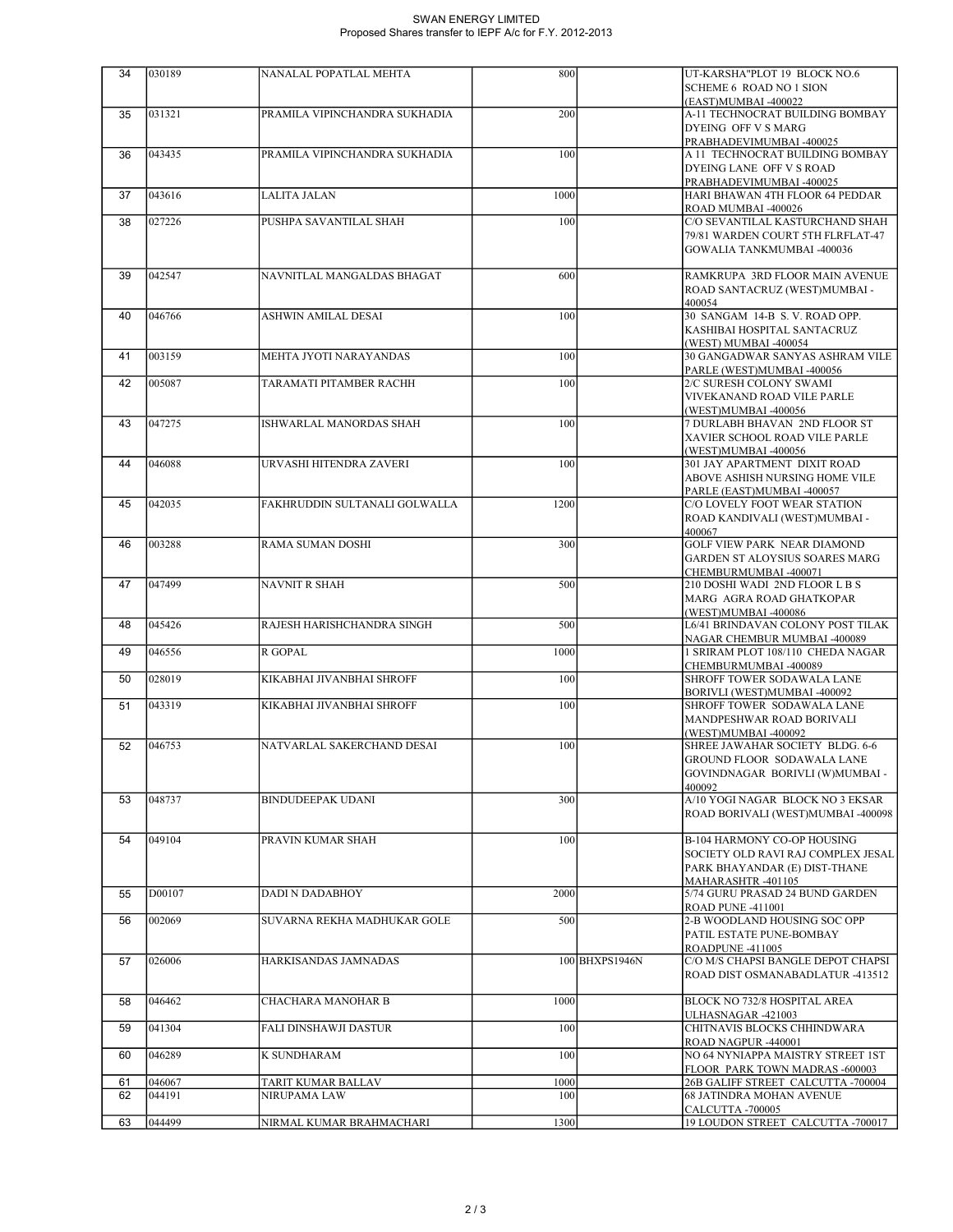## SWAN ENERGY LIMITED Proposed Shares transfer to IEPF A/c for F.Y. 2012-2013

| 34 | 030189 | NANALAL POPATLAL MEHTA        | 800  |                | UT-KARSHA"PLOT 19 BLOCK NO.6                                                |
|----|--------|-------------------------------|------|----------------|-----------------------------------------------------------------------------|
|    |        |                               |      |                | <b>SCHEME 6 ROAD NO 1 SION</b><br>(EAST)MUMBAI -400022                      |
| 35 | 031321 | PRAMILA VIPINCHANDRA SUKHADIA | 200  |                | A-11 TECHNOCRAT BUILDING BOMBAY                                             |
|    |        |                               |      |                | DYEING OFF V S MARG                                                         |
| 36 | 043435 | PRAMILA VIPINCHANDRA SUKHADIA | 100  |                | PRABHADEVIMUMBAI -400025<br>A 11 TECHNOCRAT BUILDING BOMBAY                 |
|    |        |                               |      |                | DYEING LANE OFF V S ROAD                                                    |
|    |        |                               |      |                | PRABHADEVIMUMBAI -400025                                                    |
| 37 | 043616 | LALITA JALAN                  | 1000 |                | HARI BHAWAN 4TH FLOOR 64 PEDDAR                                             |
| 38 | 027226 | PUSHPA SAVANTILAL SHAH        | 100  |                | ROAD MUMBAI -400026<br>C/O SEVANTILAL KASTURCHAND SHAH                      |
|    |        |                               |      |                | 79/81 WARDEN COURT 5TH FLRFLAT-47                                           |
|    |        |                               |      |                | GOWALIA TANKMUMBAI -400036                                                  |
|    |        |                               |      |                |                                                                             |
| 39 | 042547 | NAVNITLAL MANGALDAS BHAGAT    | 600  |                | RAMKRUPA 3RD FLOOR MAIN AVENUE<br>ROAD SANTACRUZ (WEST)MUMBAI -             |
|    |        |                               |      |                | 400054                                                                      |
| 40 | 046766 | ASHWIN AMILAL DESAI           | 100  |                | 30 SANGAM 14-B S.V. ROAD OPP.                                               |
|    |        |                               |      |                | KASHIBAI HOSPITAL SANTACRUZ                                                 |
| 41 | 003159 | MEHTA JYOTI NARAYANDAS        | 100  |                | (WEST) MUMBAI -400054<br>30 GANGADWAR SANYAS ASHRAM VILE                    |
|    |        |                               |      |                | PARLE (WEST)MUMBAI -400056                                                  |
| 42 | 005087 | TARAMATI PITAMBER RACHH       | 100  |                | 2/C SURESH COLONY SWAMI                                                     |
|    |        |                               |      |                | VIVEKANAND ROAD VILE PARLE                                                  |
| 43 | 047275 | ISHWARLAL MANORDAS SHAH       | 100  |                | (WEST)MUMBAI -400056<br>7 DURLABH BHAVAN 2ND FLOOR ST                       |
|    |        |                               |      |                | XAVIER SCHOOL ROAD VILE PARLE                                               |
|    |        |                               |      |                | (WEST)MUMBAI -400056                                                        |
| 44 | 046088 | URVASHI HITENDRA ZAVERI       | 100  |                | 301 JAY APARTMENT DIXIT ROAD                                                |
|    |        |                               |      |                | ABOVE ASHISH NURSING HOME VILE<br>PARLE (EAST)MUMBAI -400057                |
| 45 | 042035 | FAKHRUDDIN SULTANALI GOLWALLA | 1200 |                | C/O LOVELY FOOT WEAR STATION                                                |
|    |        |                               |      |                | ROAD KANDIVALI (WEST)MUMBAI -                                               |
|    |        |                               |      |                | 400067                                                                      |
| 46 | 003288 | RAMA SUMAN DOSHI              | 300  |                | <b>GOLF VIEW PARK NEAR DIAMOND</b><br><b>GARDEN ST ALOYSIUS SOARES MARG</b> |
|    |        |                               |      |                | CHEMBURMUMBAI -400071                                                       |
| 47 | 047499 | NAVNIT R SHAH                 | 500  |                | 210 DOSHI WADI 2ND FLOOR L B S                                              |
|    |        |                               |      |                | MARG AGRA ROAD GHATKOPAR                                                    |
| 48 | 045426 | RAJESH HARISHCHANDRA SINGH    | 500  |                | (WEST)MUMBAI -400086<br>L6/41 BRINDAVAN COLONY POST TILAK                   |
|    |        |                               |      |                | NAGAR CHEMBUR MUMBAI -400089                                                |
| 49 | 046556 | R GOPAL                       | 1000 |                | 1 SRIRAM PLOT 108/110 CHEDA NAGAR                                           |
| 50 | 028019 | KIKABHAI JIVANBHAI SHROFF     | 100  |                | CHEMBURMUMBAI -400089<br>SHROFF TOWER SODAWALA LANE                         |
|    |        |                               |      |                | BORIVLI (WEST)MUMBAI -400092                                                |
| 51 | 043319 | KIKABHAI JIVANBHAI SHROFF     | 100  |                | SHROFF TOWER SODAWALA LANE                                                  |
|    |        |                               |      |                | MANDPESHWAR ROAD BORIVALI                                                   |
| 52 | 046753 | NATVARLAL SAKERCHAND DESAI    | 100  |                | (WEST)MUMBAI -400092<br>SHREE JAWAHAR SOCIETY BLDG. 6-6                     |
|    |        |                               |      |                | <b>GROUND FLOOR SODAWALA LANE</b>                                           |
|    |        |                               |      |                | GOVINDNAGAR BORIVLI (W)MUMBAI -                                             |
| 53 | 048737 | <b>BINDUDEEPAK UDANI</b>      | 300  |                | 400092<br>A/10 YOGI NAGAR BLOCK NO 3 EKSAR                                  |
|    |        |                               |      |                | ROAD BORIVALI (WEST)MUMBAI -400098                                          |
|    |        |                               |      |                |                                                                             |
| 54 | 049104 | PRAVIN KUMAR SHAH             | 100  |                | B-104 HARMONY CO-OP HOUSING                                                 |
|    |        |                               |      |                | SOCIETY OLD RAVI RAJ COMPLEX JESAL<br>PARK BHAYANDAR (E) DIST-THANE         |
|    |        |                               |      |                | MAHARASHTR-401105                                                           |
| 55 | D00107 | <b>DADI N DADABHOY</b>        | 2000 |                | 5/74 GURU PRASAD 24 BUND GARDEN                                             |
|    |        |                               |      |                | <b>ROAD PUNE -411001</b>                                                    |
| 56 | 002069 | SUVARNA REKHA MADHUKAR GOLE   | 500  |                | 2-B WOODLAND HOUSING SOC OPP<br>PATIL ESTATE PUNE-BOMBAY                    |
|    |        |                               |      |                | ROADPUNE-411005                                                             |
| 57 | 026006 | HARKISANDAS JAMNADAS          |      | 100 BHXPS1946N | C/O M/S CHAPSI BANGLE DEPOT CHAPSI                                          |
|    |        |                               |      |                | ROAD DIST OSMANABADLATUR -413512                                            |
| 58 | 046462 | CHACHARA MANOHAR B            | 1000 |                | BLOCK NO 732/8 HOSPITAL AREA                                                |
|    |        |                               |      |                | ULHASNAGAR -421003                                                          |
| 59 | 041304 | FALI DINSHAWJI DASTUR         | 100  |                | CHITNAVIS BLOCKS CHHINDWARA                                                 |
| 60 | 046289 | K SUNDHARAM                   | 100  |                | ROAD NAGPUR -440001<br>NO 64 NYNIAPPA MAISTRY STREET 1ST                    |
|    |        |                               |      |                | FLOOR PARK TOWN MADRAS -600003                                              |
| 61 | 046067 | TARIT KUMAR BALLAV            | 1000 |                | 26B GALIFF STREET CALCUTTA -700004                                          |
| 62 | 044191 | NIRUPAMA LAW                  | 100  |                | <b>68 JATINDRA MOHAN AVENUE</b><br>CALCUTTA -700005                         |
| 63 | 044499 | NIRMAL KUMAR BRAHMACHARI      | 1300 |                | 19 LOUDON STREET CALCUTTA -700017                                           |
|    |        |                               |      |                |                                                                             |